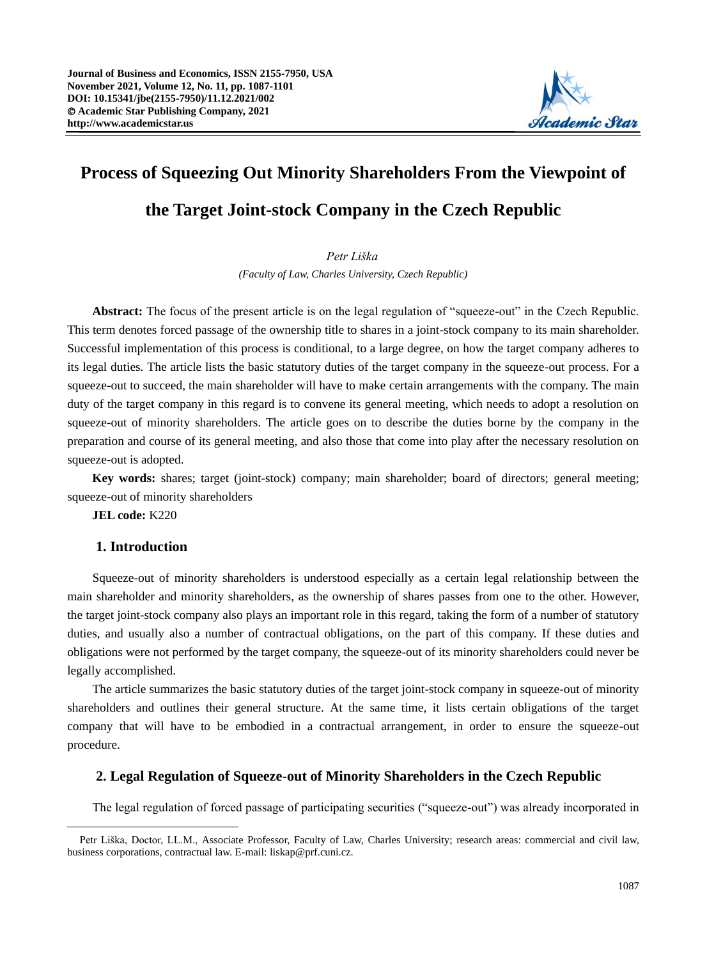

# **Process of Squeezing Out Minority Shareholders From the Viewpoint of the Target Joint-stock Company in the Czech Republic**

## *Petr Liška*

*(Faculty of Law, Charles University, Czech Republic)*

**Abstract:** The focus of the present article is on the legal regulation of "squeeze-out" in the Czech Republic. This term denotes forced passage of the ownership title to shares in a joint-stock company to its main shareholder. Successful implementation of this process is conditional, to a large degree, on how the target company adheres to its legal duties. The article lists the basic statutory duties of the target company in the squeeze-out process. For a squeeze-out to succeed, the main shareholder will have to make certain arrangements with the company. The main duty of the target company in this regard is to convene its general meeting, which needs to adopt a resolution on squeeze-out of minority shareholders. The article goes on to describe the duties borne by the company in the preparation and course of its general meeting, and also those that come into play after the necessary resolution on squeeze-out is adopted.

**Key words:** shares; target (joint-stock) company; main shareholder; board of directors; general meeting; squeeze-out of minority shareholders

**JEL code:** K220

# **1. Introduction**

Squeeze-out of minority shareholders is understood especially as a certain legal relationship between the main shareholder and minority shareholders, as the ownership of shares passes from one to the other. However, the target joint-stock company also plays an important role in this regard, taking the form of a number of statutory duties, and usually also a number of contractual obligations, on the part of this company. If these duties and obligations were not performed by the target company, the squeeze-out of its minority shareholders could never be legally accomplished.

The article summarizes the basic statutory duties of the target joint-stock company in squeeze-out of minority shareholders and outlines their general structure. At the same time, it lists certain obligations of the target company that will have to be embodied in a contractual arrangement, in order to ensure the squeeze-out procedure.

## **2. Legal Regulation of Squeeze-out of Minority Shareholders in the Czech Republic**

The legal regulation of forced passage of participating securities ("squeeze-out") was already incorporated in

Petr Liška, Doctor, LL.M., Associate Professor, Faculty of Law, Charles University; research areas: commercial and civil law, business corporations, contractual law. E-mail: liskap@prf.cuni.cz.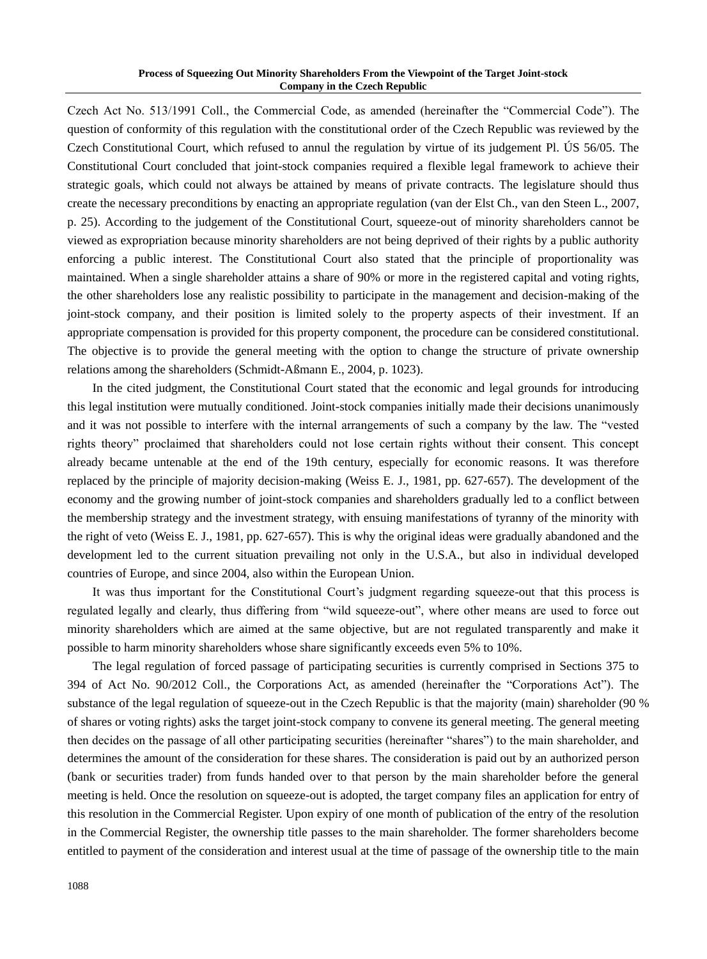Czech Act No. 513/1991 Coll., the Commercial Code, as amended (hereinafter the "Commercial Code"). The question of conformity of this regulation with the constitutional order of the Czech Republic was reviewed by the Czech Constitutional Court, which refused to annul the regulation by virtue of its judgement Pl. ÚS 56/05. The Constitutional Court concluded that joint-stock companies required a flexible legal framework to achieve their strategic goals, which could not always be attained by means of private contracts. The legislature should thus create the necessary preconditions by enacting an appropriate regulation (van der Elst Ch., van den Steen L., 2007, p. 25). According to the judgement of the Constitutional Court, squeeze-out of minority shareholders cannot be viewed as expropriation because minority shareholders are not being deprived of their rights by a public authority enforcing a public interest. The Constitutional Court also stated that the principle of proportionality was maintained. When a single shareholder attains a share of 90% or more in the registered capital and voting rights, the other shareholders lose any realistic possibility to participate in the management and decision-making of the joint-stock company, and their position is limited solely to the property aspects of their investment. If an appropriate compensation is provided for this property component, the procedure can be considered constitutional. The objective is to provide the general meeting with the option to change the structure of private ownership relations among the shareholders (Schmidt-Aßmann E., 2004, p. 1023).

In the cited judgment, the Constitutional Court stated that the economic and legal grounds for introducing this legal institution were mutually conditioned. Joint-stock companies initially made their decisions unanimously and it was not possible to interfere with the internal arrangements of such a company by the law. The "vested rights theory" proclaimed that shareholders could not lose certain rights without their consent. This concept already became untenable at the end of the 19th century, especially for economic reasons. It was therefore replaced by the principle of majority decision-making (Weiss E. J., 1981, pp. 627-657). The development of the economy and the growing number of joint-stock companies and shareholders gradually led to a conflict between the membership strategy and the investment strategy, with ensuing manifestations of tyranny of the minority with the right of veto (Weiss E. J., 1981, pp. 627-657). This is why the original ideas were gradually abandoned and the development led to the current situation prevailing not only in the U.S.A., but also in individual developed countries of Europe, and since 2004, also within the European Union.

It was thus important for the Constitutional Court's judgment regarding squeeze-out that this process is regulated legally and clearly, thus differing from "wild squeeze-out", where other means are used to force out minority shareholders which are aimed at the same objective, but are not regulated transparently and make it possible to harm minority shareholders whose share significantly exceeds even 5% to 10%.

The legal regulation of forced passage of participating securities is currently comprised in Sections 375 to 394 of Act No. 90/2012 Coll., the Corporations Act, as amended (hereinafter the "Corporations Act"). The substance of the legal regulation of squeeze-out in the Czech Republic is that the majority (main) shareholder (90 % of shares or voting rights) asks the target joint-stock company to convene its general meeting. The general meeting then decides on the passage of all other participating securities (hereinafter "shares") to the main shareholder, and determines the amount of the consideration for these shares. The consideration is paid out by an authorized person (bank or securities trader) from funds handed over to that person by the main shareholder before the general meeting is held. Once the resolution on squeeze-out is adopted, the target company files an application for entry of this resolution in the Commercial Register. Upon expiry of one month of publication of the entry of the resolution in the Commercial Register, the ownership title passes to the main shareholder. The former shareholders become entitled to payment of the consideration and interest usual at the time of passage of the ownership title to the main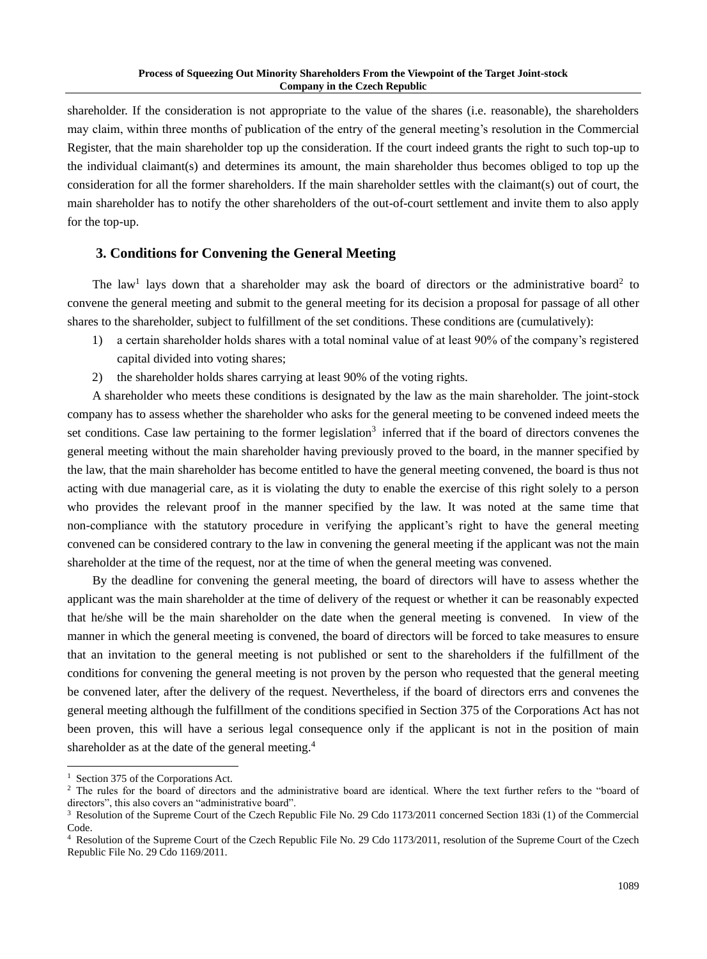shareholder. If the consideration is not appropriate to the value of the shares (i.e. reasonable), the shareholders may claim, within three months of publication of the entry of the general meeting's resolution in the Commercial Register, that the main shareholder top up the consideration. If the court indeed grants the right to such top-up to the individual claimant(s) and determines its amount, the main shareholder thus becomes obliged to top up the consideration for all the former shareholders. If the main shareholder settles with the claimant(s) out of court, the main shareholder has to notify the other shareholders of the out-of-court settlement and invite them to also apply for the top-up.

# **3. Conditions for Convening the General Meeting**

The law<sup>1</sup> lays down that a shareholder may ask the board of directors or the administrative board<sup>2</sup> to convene the general meeting and submit to the general meeting for its decision a proposal for passage of all other shares to the shareholder, subject to fulfillment of the set conditions. These conditions are (cumulatively):

- 1) a certain shareholder holds shares with a total nominal value of at least 90% of the company's registered capital divided into voting shares;
- 2) the shareholder holds shares carrying at least 90% of the voting rights.

A shareholder who meets these conditions is designated by the law as the main shareholder. The joint-stock company has to assess whether the shareholder who asks for the general meeting to be convened indeed meets the set conditions. Case law pertaining to the former legislation<sup>3</sup> inferred that if the board of directors convenes the general meeting without the main shareholder having previously proved to the board, in the manner specified by the law, that the main shareholder has become entitled to have the general meeting convened, the board is thus not acting with due managerial care, as it is violating the duty to enable the exercise of this right solely to a person who provides the relevant proof in the manner specified by the law. It was noted at the same time that non-compliance with the statutory procedure in verifying the applicant's right to have the general meeting convened can be considered contrary to the law in convening the general meeting if the applicant was not the main shareholder at the time of the request, nor at the time of when the general meeting was convened.

By the deadline for convening the general meeting, the board of directors will have to assess whether the applicant was the main shareholder at the time of delivery of the request or whether it can be reasonably expected that he/she will be the main shareholder on the date when the general meeting is convened. In view of the manner in which the general meeting is convened, the board of directors will be forced to take measures to ensure that an invitation to the general meeting is not published or sent to the shareholders if the fulfillment of the conditions for convening the general meeting is not proven by the person who requested that the general meeting be convened later, after the delivery of the request. Nevertheless, if the board of directors errs and convenes the general meeting although the fulfillment of the conditions specified in Section 375 of the Corporations Act has not been proven, this will have a serious legal consequence only if the applicant is not in the position of main shareholder as at the date of the general meeting.<sup>4</sup>

<sup>&</sup>lt;sup>1</sup> Section 375 of the Corporations Act.

<sup>&</sup>lt;sup>2</sup> The rules for the board of directors and the administrative board are identical. Where the text further refers to the "board of directors", this also covers an "administrative board".

<sup>3</sup> Resolution of the Supreme Court of the Czech Republic File No. 29 Cdo 1173/2011 concerned Section 183i (1) of the Commercial Code.

<sup>4</sup> Resolution of the Supreme Court of the Czech Republic File No. 29 Cdo 1173/2011, resolution of the Supreme Court of the Czech Republic File No. 29 Cdo 1169/2011.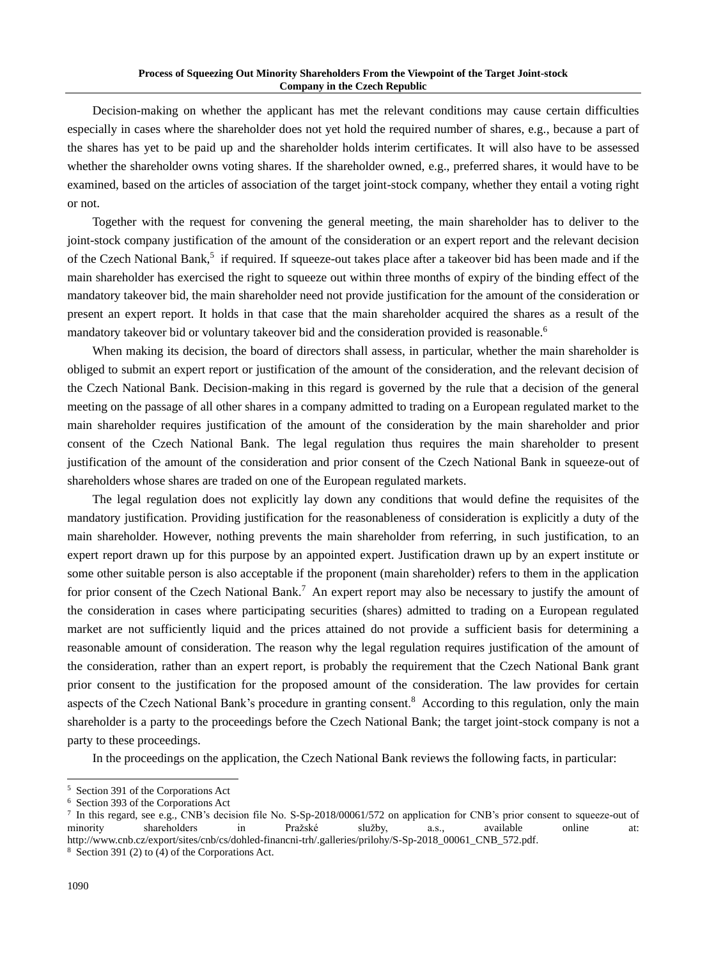Decision-making on whether the applicant has met the relevant conditions may cause certain difficulties especially in cases where the shareholder does not yet hold the required number of shares, e.g., because a part of the shares has yet to be paid up and the shareholder holds interim certificates. It will also have to be assessed whether the shareholder owns voting shares. If the shareholder owned, e.g., preferred shares, it would have to be examined, based on the articles of association of the target joint-stock company, whether they entail a voting right or not.

Together with the request for convening the general meeting, the main shareholder has to deliver to the joint-stock company justification of the amount of the consideration or an expert report and the relevant decision of the Czech National Bank,<sup>5</sup> if required. If squeeze-out takes place after a takeover bid has been made and if the main shareholder has exercised the right to squeeze out within three months of expiry of the binding effect of the mandatory takeover bid, the main shareholder need not provide justification for the amount of the consideration or present an expert report. It holds in that case that the main shareholder acquired the shares as a result of the mandatory takeover bid or voluntary takeover bid and the consideration provided is reasonable.<sup>6</sup>

When making its decision, the board of directors shall assess, in particular, whether the main shareholder is obliged to submit an expert report or justification of the amount of the consideration, and the relevant decision of the Czech National Bank. Decision-making in this regard is governed by the rule that a decision of the general meeting on the passage of all other shares in a company admitted to trading on a European regulated market to the main shareholder requires justification of the amount of the consideration by the main shareholder and prior consent of the Czech National Bank. The legal regulation thus requires the main shareholder to present justification of the amount of the consideration and prior consent of the Czech National Bank in squeeze-out of shareholders whose shares are traded on one of the European regulated markets.

The legal regulation does not explicitly lay down any conditions that would define the requisites of the mandatory justification. Providing justification for the reasonableness of consideration is explicitly a duty of the main shareholder. However, nothing prevents the main shareholder from referring, in such justification, to an expert report drawn up for this purpose by an appointed expert. Justification drawn up by an expert institute or some other suitable person is also acceptable if the proponent (main shareholder) refers to them in the application for prior consent of the Czech National Bank.<sup>7</sup> An expert report may also be necessary to justify the amount of the consideration in cases where participating securities (shares) admitted to trading on a European regulated market are not sufficiently liquid and the prices attained do not provide a sufficient basis for determining a reasonable amount of consideration. The reason why the legal regulation requires justification of the amount of the consideration, rather than an expert report, is probably the requirement that the Czech National Bank grant prior consent to the justification for the proposed amount of the consideration. The law provides for certain aspects of the Czech National Bank's procedure in granting consent.<sup>8</sup> According to this regulation, only the main shareholder is a party to the proceedings before the Czech National Bank; the target joint-stock company is not a party to these proceedings.

In the proceedings on the application, the Czech National Bank reviews the following facts, in particular:

<sup>5</sup> Section 391 of the Corporations Act

<sup>6</sup> Section 393 of the Corporations Act

<sup>&</sup>lt;sup>7</sup> In this regard, see e.g., CNB's decision file No. S-Sp-2018/00061/572 on application for CNB's prior consent to squeeze-out of minority shareholders in Pražské služby, a.s., available online at: http://www.cnb.cz/export/sites/cnb/cs/dohled-financni-trh/.galleries/prilohy/S-Sp-2018\_00061\_CNB\_572.pdf.

<sup>8</sup> Section 391 (2) to (4) of the Corporations Act.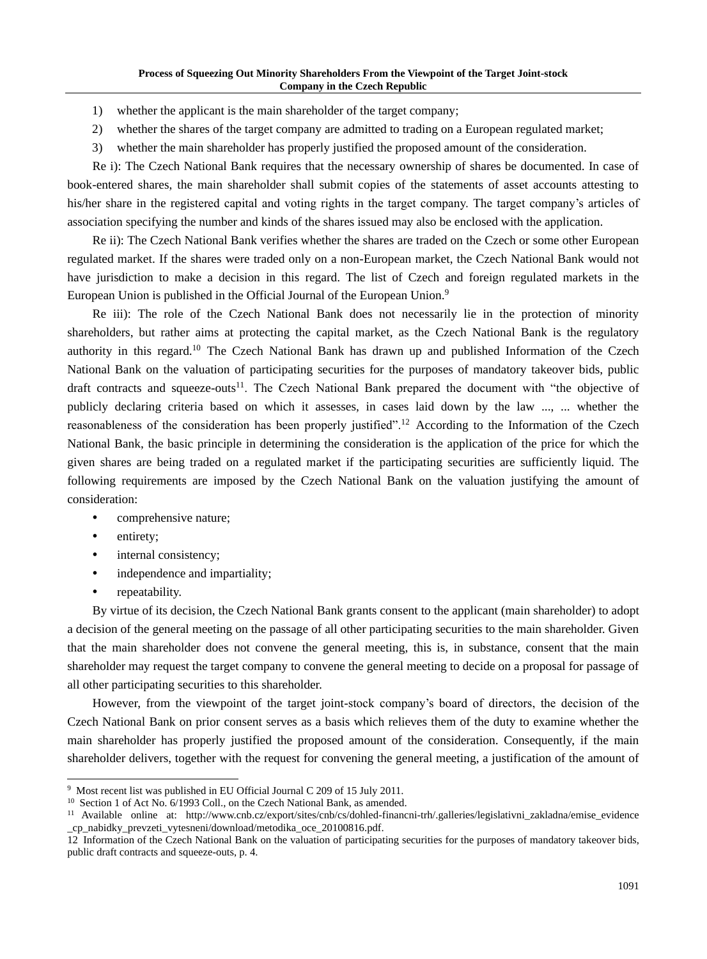- 1) whether the applicant is the main shareholder of the target company;
- 2) whether the shares of the target company are admitted to trading on a European regulated market;
- 3) whether the main shareholder has properly justified the proposed amount of the consideration.

Re i): The Czech National Bank requires that the necessary ownership of shares be documented. In case of book-entered shares, the main shareholder shall submit copies of the statements of asset accounts attesting to his/her share in the registered capital and voting rights in the target company. The target company's articles of association specifying the number and kinds of the shares issued may also be enclosed with the application.

Re ii): The Czech National Bank verifies whether the shares are traded on the Czech or some other European regulated market. If the shares were traded only on a non-European market, the Czech National Bank would not have jurisdiction to make a decision in this regard. The list of Czech and foreign regulated markets in the European Union is published in the Official Journal of the European Union.<sup>9</sup>

Re iii): The role of the Czech National Bank does not necessarily lie in the protection of minority shareholders, but rather aims at protecting the capital market, as the Czech National Bank is the regulatory authority in this regard.<sup>10</sup> The Czech National Bank has drawn up and published Information of the Czech National Bank on the valuation of participating securities for the purposes of mandatory takeover bids, public draft contracts and squeeze-outs<sup>11</sup>. The Czech National Bank prepared the document with "the objective of publicly declaring criteria based on which it assesses, in cases laid down by the law ..., ... whether the reasonableness of the consideration has been properly justified".<sup>12</sup> According to the Information of the Czech National Bank, the basic principle in determining the consideration is the application of the price for which the given shares are being traded on a regulated market if the participating securities are sufficiently liquid. The following requirements are imposed by the Czech National Bank on the valuation justifying the amount of consideration:

- comprehensive nature;
- entirety;
- internal consistency;
- independence and impartiality;
- repeatability.

By virtue of its decision, the Czech National Bank grants consent to the applicant (main shareholder) to adopt a decision of the general meeting on the passage of all other participating securities to the main shareholder. Given that the main shareholder does not convene the general meeting, this is, in substance, consent that the main shareholder may request the target company to convene the general meeting to decide on a proposal for passage of all other participating securities to this shareholder.

However, from the viewpoint of the target joint-stock company's board of directors, the decision of the Czech National Bank on prior consent serves as a basis which relieves them of the duty to examine whether the main shareholder has properly justified the proposed amount of the consideration. Consequently, if the main shareholder delivers, together with the request for convening the general meeting, a justification of the amount of

<sup>9</sup> Most recent list was published in EU Official Journal C 209 of 15 July 2011.

<sup>&</sup>lt;sup>10</sup> Section 1 of Act No. 6/1993 Coll., on the Czech National Bank, as amended.

<sup>11</sup> Available online at: http://www.cnb.cz/export/sites/cnb/cs/dohled-financni-trh/.galleries/legislativni\_zakladna/emise\_evidence \_cp\_nabidky\_prevzeti\_vytesneni/download/metodika\_oce\_20100816.pdf.

<sup>12</sup> Information of the Czech National Bank on the valuation of participating securities for the purposes of mandatory takeover bids, public draft contracts and squeeze-outs, p. 4.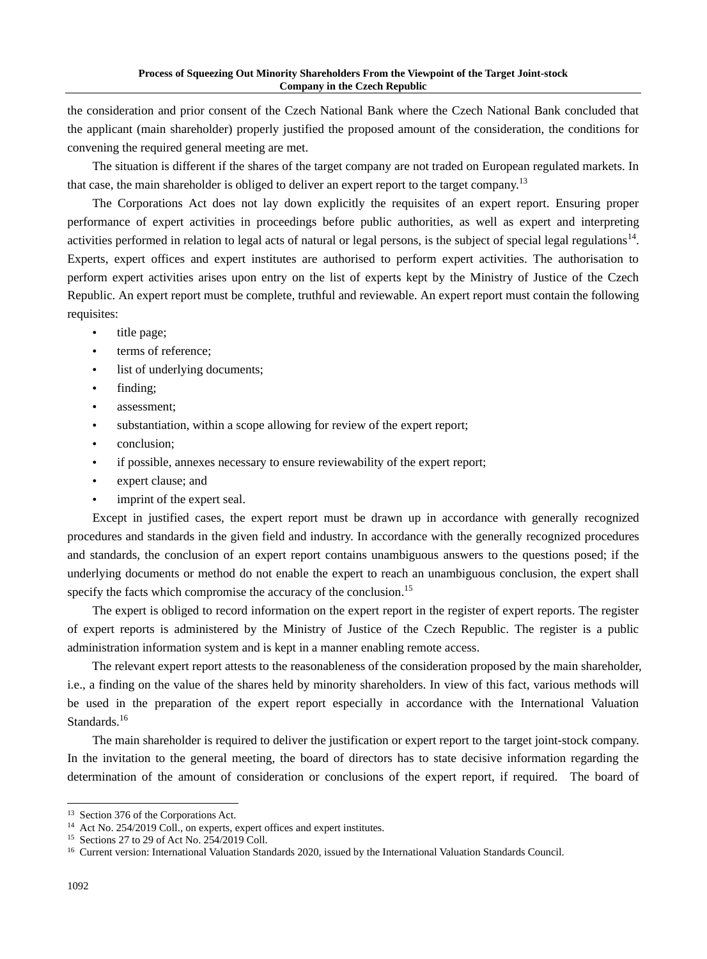the consideration and prior consent of the Czech National Bank where the Czech National Bank concluded that the applicant (main shareholder) properly justified the proposed amount of the consideration, the conditions for convening the required general meeting are met.

The situation is different if the shares of the target company are not traded on European regulated markets. In that case, the main shareholder is obliged to deliver an expert report to the target company.<sup>13</sup>

The Corporations Act does not lay down explicitly the requisites of an expert report. Ensuring proper performance of expert activities in proceedings before public authorities, as well as expert and interpreting activities performed in relation to legal acts of natural or legal persons, is the subject of special legal regulations<sup>14</sup>. Experts, expert offices and expert institutes are authorised to perform expert activities. The authorisation to perform expert activities arises upon entry on the list of experts kept by the Ministry of Justice of the Czech Republic. An expert report must be complete, truthful and reviewable. An expert report must contain the following requisites:

- title page;
- terms of reference;
- list of underlying documents;
- finding;
- assessment;
- substantiation, within a scope allowing for review of the expert report;
- conclusion;
- if possible, annexes necessary to ensure reviewability of the expert report;
- expert clause; and
- imprint of the expert seal.

Except in justified cases, the expert report must be drawn up in accordance with generally recognized procedures and standards in the given field and industry. In accordance with the generally recognized procedures and standards, the conclusion of an expert report contains unambiguous answers to the questions posed; if the underlying documents or method do not enable the expert to reach an unambiguous conclusion, the expert shall specify the facts which compromise the accuracy of the conclusion.<sup>15</sup>

The expert is obliged to record information on the expert report in the register of expert reports. The register of expert reports is administered by the Ministry of Justice of the Czech Republic. The register is a public administration information system and is kept in a manner enabling remote access.

The relevant expert report attests to the reasonableness of the consideration proposed by the main shareholder, i.e., a finding on the value of the shares held by minority shareholders. In view of this fact, various methods will be used in the preparation of the expert report especially in accordance with the International Valuation Standards.<sup>16</sup>

The main shareholder is required to deliver the justification or expert report to the target joint-stock company. In the invitation to the general meeting, the board of directors has to state decisive information regarding the determination of the amount of consideration or conclusions of the expert report, if required. The board of

<sup>&</sup>lt;sup>13</sup> Section 376 of the Corporations Act.

<sup>&</sup>lt;sup>14</sup> Act No. 254/2019 Coll., on experts, expert offices and expert institutes.

<sup>15</sup> Sections 27 to 29 of Act No. 254/2019 Coll.

<sup>16</sup> Current version: International Valuation Standards 2020, issued by the International Valuation Standards Council.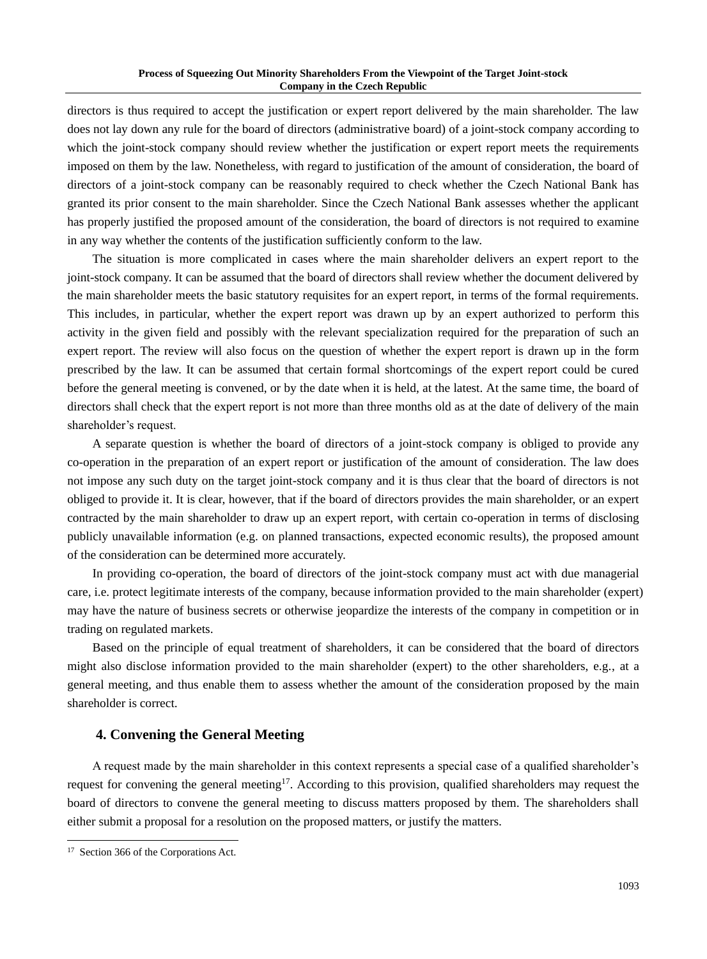directors is thus required to accept the justification or expert report delivered by the main shareholder. The law does not lay down any rule for the board of directors (administrative board) of a joint-stock company according to which the joint-stock company should review whether the justification or expert report meets the requirements imposed on them by the law. Nonetheless, with regard to justification of the amount of consideration, the board of directors of a joint-stock company can be reasonably required to check whether the Czech National Bank has granted its prior consent to the main shareholder. Since the Czech National Bank assesses whether the applicant has properly justified the proposed amount of the consideration, the board of directors is not required to examine in any way whether the contents of the justification sufficiently conform to the law.

The situation is more complicated in cases where the main shareholder delivers an expert report to the joint-stock company. It can be assumed that the board of directors shall review whether the document delivered by the main shareholder meets the basic statutory requisites for an expert report, in terms of the formal requirements. This includes, in particular, whether the expert report was drawn up by an expert authorized to perform this activity in the given field and possibly with the relevant specialization required for the preparation of such an expert report. The review will also focus on the question of whether the expert report is drawn up in the form prescribed by the law. It can be assumed that certain formal shortcomings of the expert report could be cured before the general meeting is convened, or by the date when it is held, at the latest. At the same time, the board of directors shall check that the expert report is not more than three months old as at the date of delivery of the main shareholder's request.

A separate question is whether the board of directors of a joint-stock company is obliged to provide any co-operation in the preparation of an expert report or justification of the amount of consideration. The law does not impose any such duty on the target joint-stock company and it is thus clear that the board of directors is not obliged to provide it. It is clear, however, that if the board of directors provides the main shareholder, or an expert contracted by the main shareholder to draw up an expert report, with certain co-operation in terms of disclosing publicly unavailable information (e.g. on planned transactions, expected economic results), the proposed amount of the consideration can be determined more accurately.

In providing co-operation, the board of directors of the joint-stock company must act with due managerial care, i.e. protect legitimate interests of the company, because information provided to the main shareholder (expert) may have the nature of business secrets or otherwise jeopardize the interests of the company in competition or in trading on regulated markets.

Based on the principle of equal treatment of shareholders, it can be considered that the board of directors might also disclose information provided to the main shareholder (expert) to the other shareholders, e.g., at a general meeting, and thus enable them to assess whether the amount of the consideration proposed by the main shareholder is correct.

## **4. Convening the General Meeting**

A request made by the main shareholder in this context represents a special case of a qualified shareholder's request for convening the general meeting<sup>17</sup>. According to this provision, qualified shareholders may request the board of directors to convene the general meeting to discuss matters proposed by them. The shareholders shall either submit a proposal for a resolution on the proposed matters, or justify the matters.

<sup>&</sup>lt;sup>17</sup> Section 366 of the Corporations Act.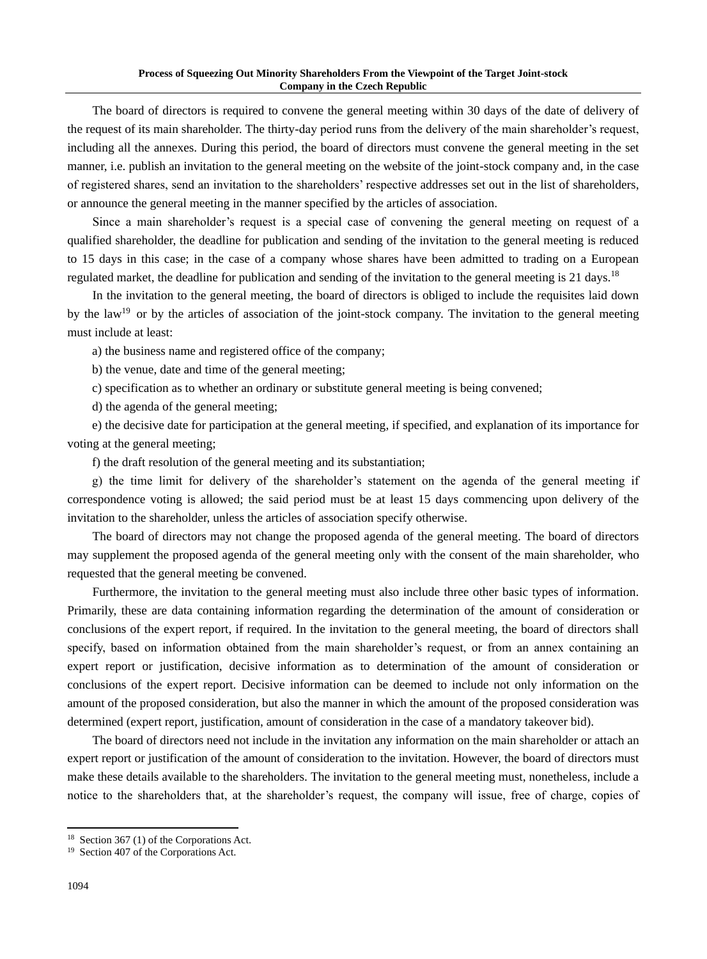The board of directors is required to convene the general meeting within 30 days of the date of delivery of the request of its main shareholder. The thirty-day period runs from the delivery of the main shareholder's request, including all the annexes. During this period, the board of directors must convene the general meeting in the set manner, i.e. publish an invitation to the general meeting on the website of the joint-stock company and, in the case of registered shares, send an invitation to the shareholders' respective addresses set out in the list of shareholders, or announce the general meeting in the manner specified by the articles of association.

Since a main shareholder's request is a special case of convening the general meeting on request of a qualified shareholder, the deadline for publication and sending of the invitation to the general meeting is reduced to 15 days in this case; in the case of a company whose shares have been admitted to trading on a European regulated market, the deadline for publication and sending of the invitation to the general meeting is 21 days.<sup>18</sup>

In the invitation to the general meeting, the board of directors is obliged to include the requisites laid down by the law<sup>19</sup> or by the articles of association of the joint-stock company. The invitation to the general meeting must include at least:

a) the business name and registered office of the company;

b) the venue, date and time of the general meeting;

c) specification as to whether an ordinary or substitute general meeting is being convened;

d) the agenda of the general meeting;

e) the decisive date for participation at the general meeting, if specified, and explanation of its importance for voting at the general meeting;

f) the draft resolution of the general meeting and its substantiation;

g) the time limit for delivery of the shareholder's statement on the agenda of the general meeting if correspondence voting is allowed; the said period must be at least 15 days commencing upon delivery of the invitation to the shareholder, unless the articles of association specify otherwise.

The board of directors may not change the proposed agenda of the general meeting. The board of directors may supplement the proposed agenda of the general meeting only with the consent of the main shareholder, who requested that the general meeting be convened.

Furthermore, the invitation to the general meeting must also include three other basic types of information. Primarily, these are data containing information regarding the determination of the amount of consideration or conclusions of the expert report, if required. In the invitation to the general meeting, the board of directors shall specify, based on information obtained from the main shareholder's request, or from an annex containing an expert report or justification, decisive information as to determination of the amount of consideration or conclusions of the expert report. Decisive information can be deemed to include not only information on the amount of the proposed consideration, but also the manner in which the amount of the proposed consideration was determined (expert report, justification, amount of consideration in the case of a mandatory takeover bid).

The board of directors need not include in the invitation any information on the main shareholder or attach an expert report or justification of the amount of consideration to the invitation. However, the board of directors must make these details available to the shareholders. The invitation to the general meeting must, nonetheless, include a notice to the shareholders that, at the shareholder's request, the company will issue, free of charge, copies of

<sup>&</sup>lt;sup>18</sup> Section 367 (1) of the Corporations Act.

<sup>19</sup> Section 407 of the Corporations Act.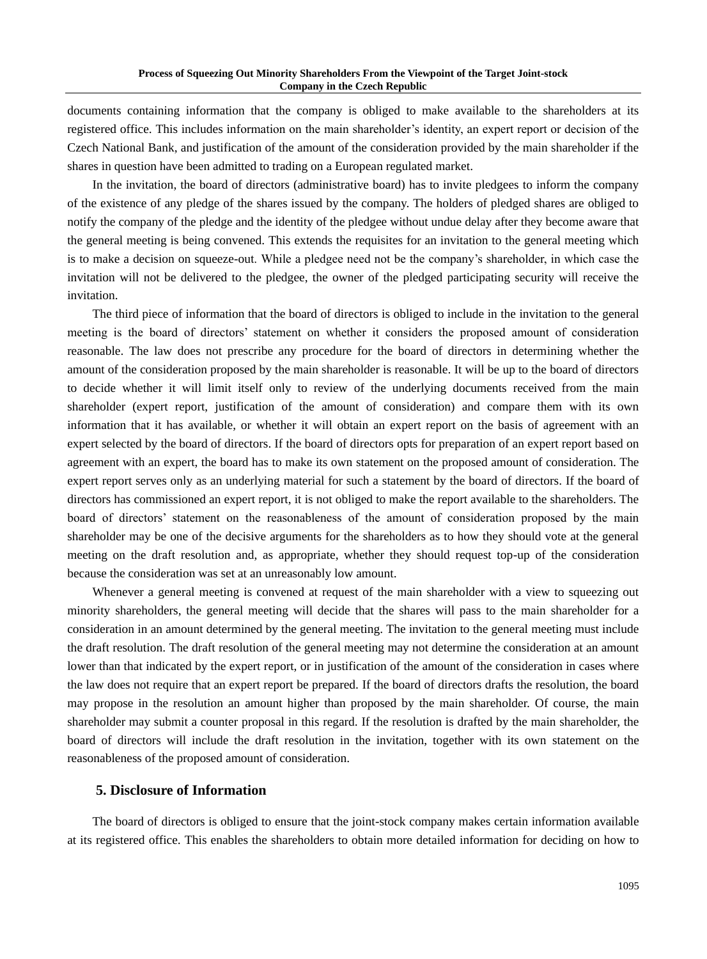documents containing information that the company is obliged to make available to the shareholders at its registered office. This includes information on the main shareholder's identity, an expert report or decision of the Czech National Bank, and justification of the amount of the consideration provided by the main shareholder if the shares in question have been admitted to trading on a European regulated market.

In the invitation, the board of directors (administrative board) has to invite pledgees to inform the company of the existence of any pledge of the shares issued by the company. The holders of pledged shares are obliged to notify the company of the pledge and the identity of the pledgee without undue delay after they become aware that the general meeting is being convened. This extends the requisites for an invitation to the general meeting which is to make a decision on squeeze-out. While a pledgee need not be the company's shareholder, in which case the invitation will not be delivered to the pledgee, the owner of the pledged participating security will receive the invitation.

The third piece of information that the board of directors is obliged to include in the invitation to the general meeting is the board of directors' statement on whether it considers the proposed amount of consideration reasonable. The law does not prescribe any procedure for the board of directors in determining whether the amount of the consideration proposed by the main shareholder is reasonable. It will be up to the board of directors to decide whether it will limit itself only to review of the underlying documents received from the main shareholder (expert report, justification of the amount of consideration) and compare them with its own information that it has available, or whether it will obtain an expert report on the basis of agreement with an expert selected by the board of directors. If the board of directors opts for preparation of an expert report based on agreement with an expert, the board has to make its own statement on the proposed amount of consideration. The expert report serves only as an underlying material for such a statement by the board of directors. If the board of directors has commissioned an expert report, it is not obliged to make the report available to the shareholders. The board of directors' statement on the reasonableness of the amount of consideration proposed by the main shareholder may be one of the decisive arguments for the shareholders as to how they should vote at the general meeting on the draft resolution and, as appropriate, whether they should request top-up of the consideration because the consideration was set at an unreasonably low amount.

Whenever a general meeting is convened at request of the main shareholder with a view to squeezing out minority shareholders, the general meeting will decide that the shares will pass to the main shareholder for a consideration in an amount determined by the general meeting. The invitation to the general meeting must include the draft resolution. The draft resolution of the general meeting may not determine the consideration at an amount lower than that indicated by the expert report, or in justification of the amount of the consideration in cases where the law does not require that an expert report be prepared. If the board of directors drafts the resolution, the board may propose in the resolution an amount higher than proposed by the main shareholder. Of course, the main shareholder may submit a counter proposal in this regard. If the resolution is drafted by the main shareholder, the board of directors will include the draft resolution in the invitation, together with its own statement on the reasonableness of the proposed amount of consideration.

#### **5. Disclosure of Information**

The board of directors is obliged to ensure that the joint-stock company makes certain information available at its registered office. This enables the shareholders to obtain more detailed information for deciding on how to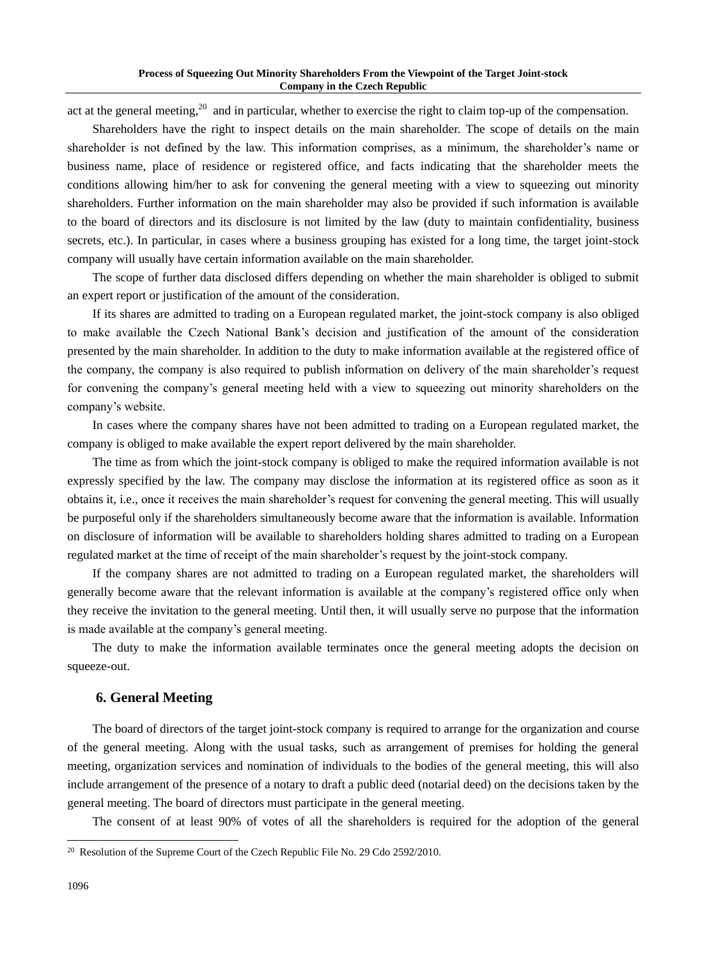act at the general meeting,<sup>20</sup> and in particular, whether to exercise the right to claim top-up of the compensation.

Shareholders have the right to inspect details on the main shareholder. The scope of details on the main shareholder is not defined by the law. This information comprises, as a minimum, the shareholder's name or business name, place of residence or registered office, and facts indicating that the shareholder meets the conditions allowing him/her to ask for convening the general meeting with a view to squeezing out minority shareholders. Further information on the main shareholder may also be provided if such information is available to the board of directors and its disclosure is not limited by the law (duty to maintain confidentiality, business secrets, etc.). In particular, in cases where a business grouping has existed for a long time, the target joint-stock company will usually have certain information available on the main shareholder.

The scope of further data disclosed differs depending on whether the main shareholder is obliged to submit an expert report or justification of the amount of the consideration.

If its shares are admitted to trading on a European regulated market, the joint-stock company is also obliged to make available the Czech National Bank's decision and justification of the amount of the consideration presented by the main shareholder. In addition to the duty to make information available at the registered office of the company, the company is also required to publish information on delivery of the main shareholder's request for convening the company's general meeting held with a view to squeezing out minority shareholders on the company's website.

In cases where the company shares have not been admitted to trading on a European regulated market, the company is obliged to make available the expert report delivered by the main shareholder.

The time as from which the joint-stock company is obliged to make the required information available is not expressly specified by the law. The company may disclose the information at its registered office as soon as it obtains it, i.e., once it receives the main shareholder's request for convening the general meeting. This will usually be purposeful only if the shareholders simultaneously become aware that the information is available. Information on disclosure of information will be available to shareholders holding shares admitted to trading on a European regulated market at the time of receipt of the main shareholder's request by the joint-stock company.

If the company shares are not admitted to trading on a European regulated market, the shareholders will generally become aware that the relevant information is available at the company's registered office only when they receive the invitation to the general meeting. Until then, it will usually serve no purpose that the information is made available at the company's general meeting.

The duty to make the information available terminates once the general meeting adopts the decision on squeeze-out.

# **6. General Meeting**

The board of directors of the target joint-stock company is required to arrange for the organization and course of the general meeting. Along with the usual tasks, such as arrangement of premises for holding the general meeting, organization services and nomination of individuals to the bodies of the general meeting, this will also include arrangement of the presence of a notary to draft a public deed (notarial deed) on the decisions taken by the general meeting. The board of directors must participate in the general meeting.

The consent of at least 90% of votes of all the shareholders is required for the adoption of the general

<sup>&</sup>lt;sup>20</sup> Resolution of the Supreme Court of the Czech Republic File No. 29 Cdo 2592/2010.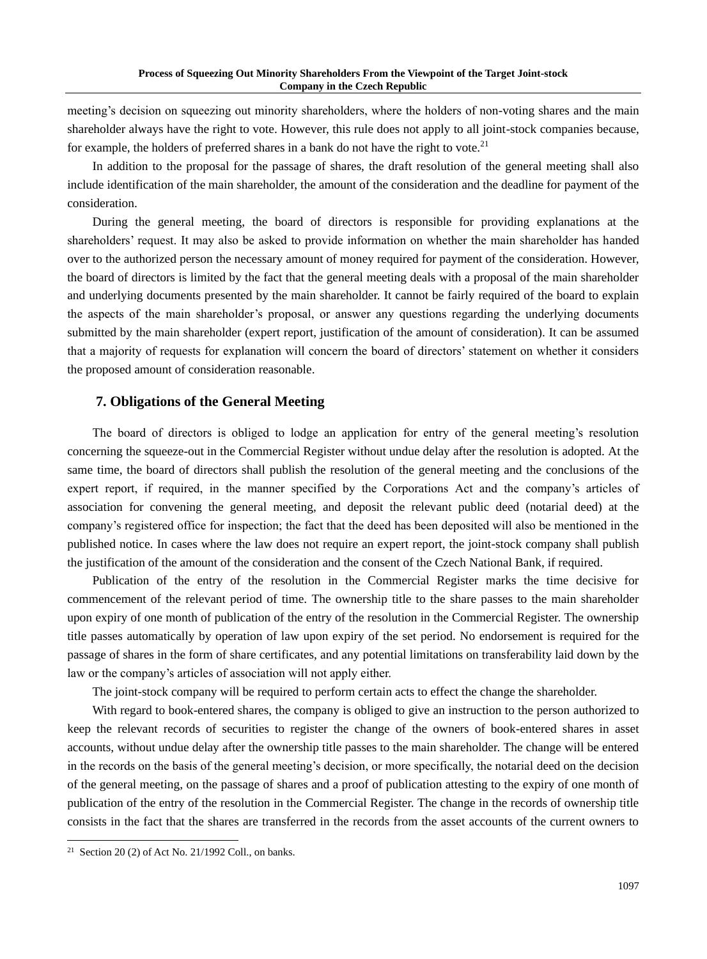meeting's decision on squeezing out minority shareholders, where the holders of non-voting shares and the main shareholder always have the right to vote. However, this rule does not apply to all joint-stock companies because, for example, the holders of preferred shares in a bank do not have the right to vote.<sup>21</sup>

In addition to the proposal for the passage of shares, the draft resolution of the general meeting shall also include identification of the main shareholder, the amount of the consideration and the deadline for payment of the consideration.

During the general meeting, the board of directors is responsible for providing explanations at the shareholders' request. It may also be asked to provide information on whether the main shareholder has handed over to the authorized person the necessary amount of money required for payment of the consideration. However, the board of directors is limited by the fact that the general meeting deals with a proposal of the main shareholder and underlying documents presented by the main shareholder. It cannot be fairly required of the board to explain the aspects of the main shareholder's proposal, or answer any questions regarding the underlying documents submitted by the main shareholder (expert report, justification of the amount of consideration). It can be assumed that a majority of requests for explanation will concern the board of directors' statement on whether it considers the proposed amount of consideration reasonable.

## **7. Obligations of the General Meeting**

The board of directors is obliged to lodge an application for entry of the general meeting's resolution concerning the squeeze-out in the Commercial Register without undue delay after the resolution is adopted. At the same time, the board of directors shall publish the resolution of the general meeting and the conclusions of the expert report, if required, in the manner specified by the Corporations Act and the company's articles of association for convening the general meeting, and deposit the relevant public deed (notarial deed) at the company's registered office for inspection; the fact that the deed has been deposited will also be mentioned in the published notice. In cases where the law does not require an expert report, the joint-stock company shall publish the justification of the amount of the consideration and the consent of the Czech National Bank, if required.

Publication of the entry of the resolution in the Commercial Register marks the time decisive for commencement of the relevant period of time. The ownership title to the share passes to the main shareholder upon expiry of one month of publication of the entry of the resolution in the Commercial Register. The ownership title passes automatically by operation of law upon expiry of the set period. No endorsement is required for the passage of shares in the form of share certificates, and any potential limitations on transferability laid down by the law or the company's articles of association will not apply either.

The joint-stock company will be required to perform certain acts to effect the change the shareholder.

With regard to book-entered shares, the company is obliged to give an instruction to the person authorized to keep the relevant records of securities to register the change of the owners of book-entered shares in asset accounts, without undue delay after the ownership title passes to the main shareholder. The change will be entered in the records on the basis of the general meeting's decision, or more specifically, the notarial deed on the decision of the general meeting, on the passage of shares and a proof of publication attesting to the expiry of one month of publication of the entry of the resolution in the Commercial Register. The change in the records of ownership title consists in the fact that the shares are transferred in the records from the asset accounts of the current owners to

<sup>&</sup>lt;sup>21</sup> Section 20 (2) of Act No. 21/1992 Coll., on banks.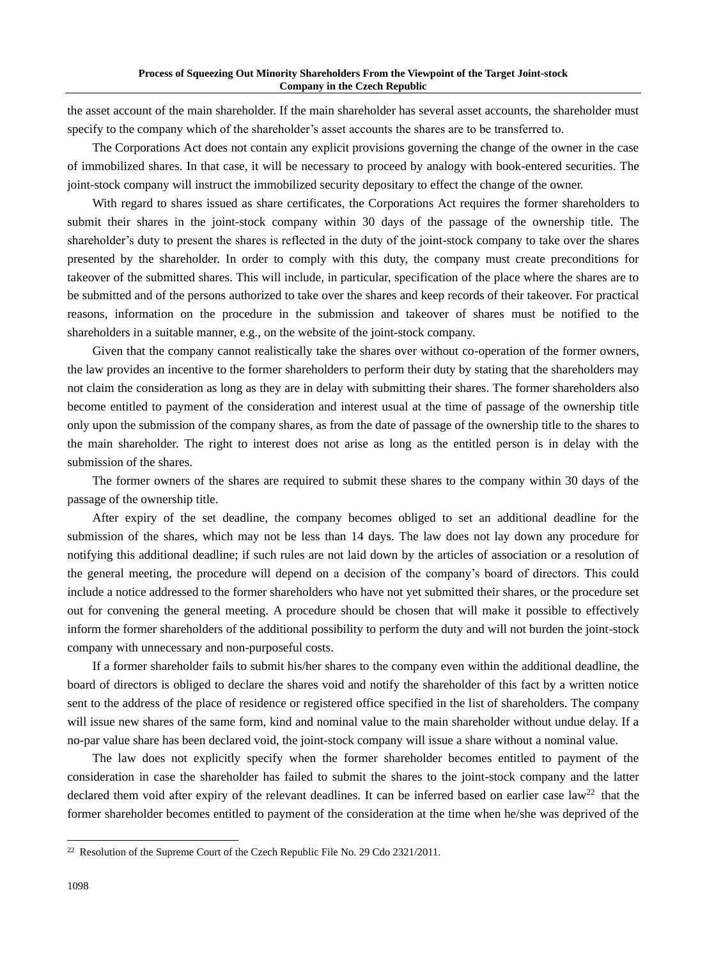the asset account of the main shareholder. If the main shareholder has several asset accounts, the shareholder must specify to the company which of the shareholder's asset accounts the shares are to be transferred to.

The Corporations Act does not contain any explicit provisions governing the change of the owner in the case of immobilized shares. In that case, it will be necessary to proceed by analogy with book-entered securities. The joint-stock company will instruct the immobilized security depositary to effect the change of the owner.

With regard to shares issued as share certificates, the Corporations Act requires the former shareholders to submit their shares in the joint-stock company within 30 days of the passage of the ownership title. The shareholder's duty to present the shares is reflected in the duty of the joint-stock company to take over the shares presented by the shareholder. In order to comply with this duty, the company must create preconditions for takeover of the submitted shares. This will include, in particular, specification of the place where the shares are to be submitted and of the persons authorized to take over the shares and keep records of their takeover. For practical reasons, information on the procedure in the submission and takeover of shares must be notified to the shareholders in a suitable manner, e.g., on the website of the joint-stock company.

Given that the company cannot realistically take the shares over without co-operation of the former owners, the law provides an incentive to the former shareholders to perform their duty by stating that the shareholders may not claim the consideration as long as they are in delay with submitting their shares. The former shareholders also become entitled to payment of the consideration and interest usual at the time of passage of the ownership title only upon the submission of the company shares, as from the date of passage of the ownership title to the shares to the main shareholder. The right to interest does not arise as long as the entitled person is in delay with the submission of the shares.

The former owners of the shares are required to submit these shares to the company within 30 days of the passage of the ownership title.

After expiry of the set deadline, the company becomes obliged to set an additional deadline for the submission of the shares, which may not be less than 14 days. The law does not lay down any procedure for notifying this additional deadline; if such rules are not laid down by the articles of association or a resolution of the general meeting, the procedure will depend on a decision of the company's board of directors. This could include a notice addressed to the former shareholders who have not yet submitted their shares, or the procedure set out for convening the general meeting. A procedure should be chosen that will make it possible to effectively inform the former shareholders of the additional possibility to perform the duty and will not burden the joint-stock company with unnecessary and non-purposeful costs.

If a former shareholder fails to submit his/her shares to the company even within the additional deadline, the board of directors is obliged to declare the shares void and notify the shareholder of this fact by a written notice sent to the address of the place of residence or registered office specified in the list of shareholders. The company will issue new shares of the same form, kind and nominal value to the main shareholder without undue delay. If a no-par value share has been declared void, the joint-stock company will issue a share without a nominal value.

The law does not explicitly specify when the former shareholder becomes entitled to payment of the consideration in case the shareholder has failed to submit the shares to the joint-stock company and the latter declared them void after expiry of the relevant deadlines. It can be inferred based on earlier case  $law<sup>22</sup>$  that the former shareholder becomes entitled to payment of the consideration at the time when he/she was deprived of the

<sup>&</sup>lt;sup>22</sup> Resolution of the Supreme Court of the Czech Republic File No. 29 Cdo 2321/2011.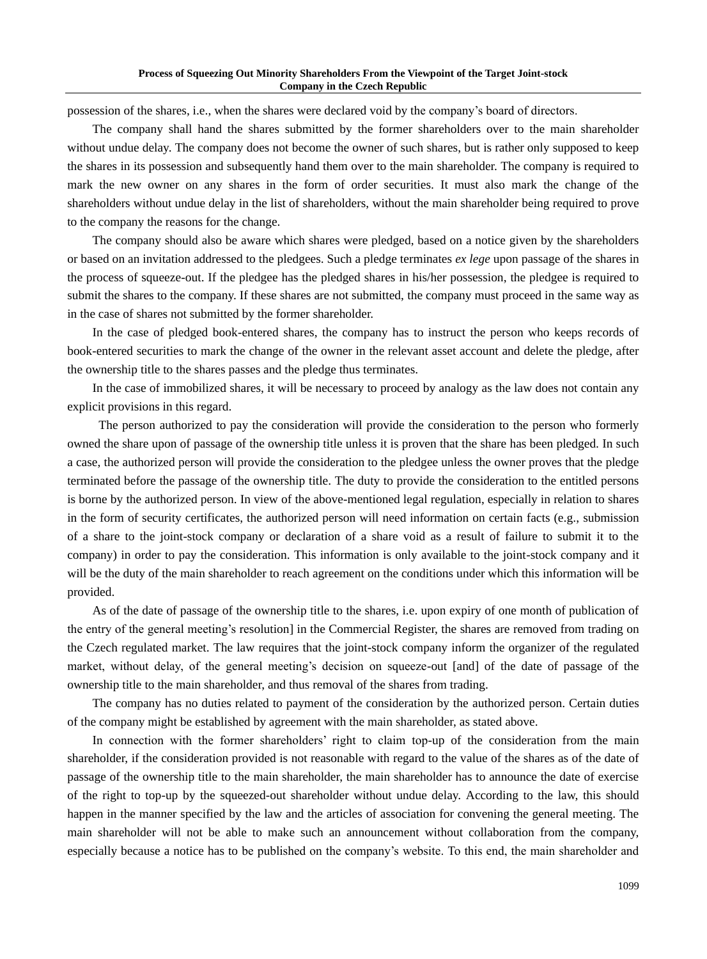possession of the shares, i.e., when the shares were declared void by the company's board of directors.

The company shall hand the shares submitted by the former shareholders over to the main shareholder without undue delay. The company does not become the owner of such shares, but is rather only supposed to keep the shares in its possession and subsequently hand them over to the main shareholder. The company is required to mark the new owner on any shares in the form of order securities. It must also mark the change of the shareholders without undue delay in the list of shareholders, without the main shareholder being required to prove to the company the reasons for the change.

The company should also be aware which shares were pledged, based on a notice given by the shareholders or based on an invitation addressed to the pledgees. Such a pledge terminates *ex lege* upon passage of the shares in the process of squeeze-out. If the pledgee has the pledged shares in his/her possession, the pledgee is required to submit the shares to the company. If these shares are not submitted, the company must proceed in the same way as in the case of shares not submitted by the former shareholder.

In the case of pledged book-entered shares, the company has to instruct the person who keeps records of book-entered securities to mark the change of the owner in the relevant asset account and delete the pledge, after the ownership title to the shares passes and the pledge thus terminates.

In the case of immobilized shares, it will be necessary to proceed by analogy as the law does not contain any explicit provisions in this regard.

The person authorized to pay the consideration will provide the consideration to the person who formerly owned the share upon of passage of the ownership title unless it is proven that the share has been pledged. In such a case, the authorized person will provide the consideration to the pledgee unless the owner proves that the pledge terminated before the passage of the ownership title. The duty to provide the consideration to the entitled persons is borne by the authorized person. In view of the above-mentioned legal regulation, especially in relation to shares in the form of security certificates, the authorized person will need information on certain facts (e.g., submission of a share to the joint-stock company or declaration of a share void as a result of failure to submit it to the company) in order to pay the consideration. This information is only available to the joint-stock company and it will be the duty of the main shareholder to reach agreement on the conditions under which this information will be provided.

As of the date of passage of the ownership title to the shares, i.e. upon expiry of one month of publication of the entry of the general meeting's resolution] in the Commercial Register, the shares are removed from trading on the Czech regulated market. The law requires that the joint-stock company inform the organizer of the regulated market, without delay, of the general meeting's decision on squeeze-out [and] of the date of passage of the ownership title to the main shareholder, and thus removal of the shares from trading.

The company has no duties related to payment of the consideration by the authorized person. Certain duties of the company might be established by agreement with the main shareholder, as stated above.

In connection with the former shareholders' right to claim top-up of the consideration from the main shareholder, if the consideration provided is not reasonable with regard to the value of the shares as of the date of passage of the ownership title to the main shareholder, the main shareholder has to announce the date of exercise of the right to top-up by the squeezed-out shareholder without undue delay. According to the law, this should happen in the manner specified by the law and the articles of association for convening the general meeting. The main shareholder will not be able to make such an announcement without collaboration from the company, especially because a notice has to be published on the company's website. To this end, the main shareholder and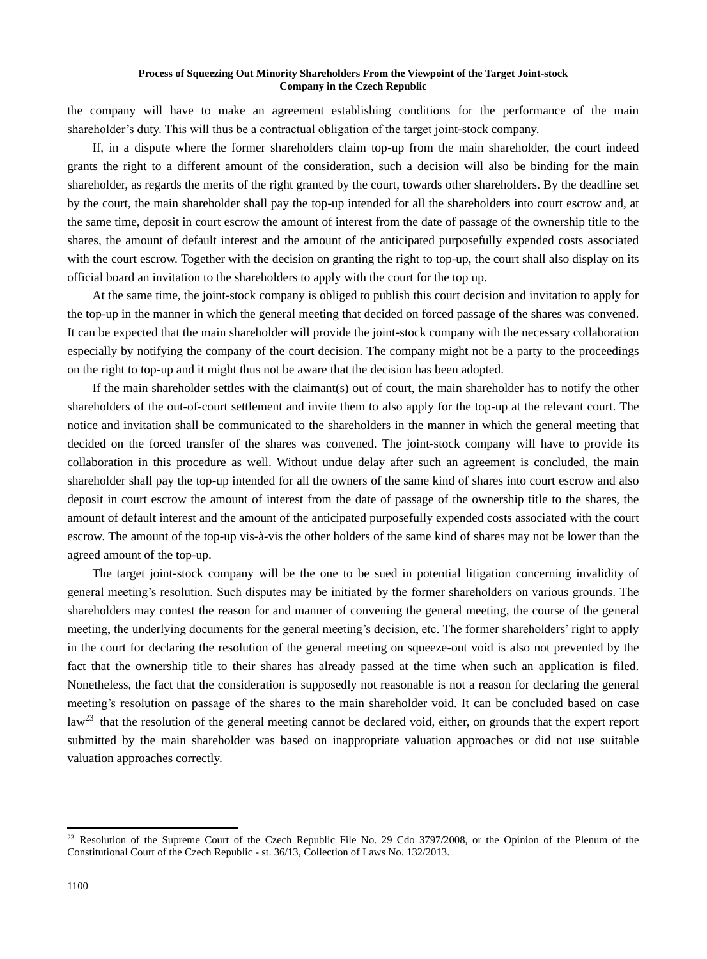the company will have to make an agreement establishing conditions for the performance of the main shareholder's duty. This will thus be a contractual obligation of the target joint-stock company.

If, in a dispute where the former shareholders claim top-up from the main shareholder, the court indeed grants the right to a different amount of the consideration, such a decision will also be binding for the main shareholder, as regards the merits of the right granted by the court, towards other shareholders. By the deadline set by the court, the main shareholder shall pay the top-up intended for all the shareholders into court escrow and, at the same time, deposit in court escrow the amount of interest from the date of passage of the ownership title to the shares, the amount of default interest and the amount of the anticipated purposefully expended costs associated with the court escrow. Together with the decision on granting the right to top-up, the court shall also display on its official board an invitation to the shareholders to apply with the court for the top up.

At the same time, the joint-stock company is obliged to publish this court decision and invitation to apply for the top-up in the manner in which the general meeting that decided on forced passage of the shares was convened. It can be expected that the main shareholder will provide the joint-stock company with the necessary collaboration especially by notifying the company of the court decision. The company might not be a party to the proceedings on the right to top-up and it might thus not be aware that the decision has been adopted.

If the main shareholder settles with the claimant(s) out of court, the main shareholder has to notify the other shareholders of the out-of-court settlement and invite them to also apply for the top-up at the relevant court. The notice and invitation shall be communicated to the shareholders in the manner in which the general meeting that decided on the forced transfer of the shares was convened. The joint-stock company will have to provide its collaboration in this procedure as well. Without undue delay after such an agreement is concluded, the main shareholder shall pay the top-up intended for all the owners of the same kind of shares into court escrow and also deposit in court escrow the amount of interest from the date of passage of the ownership title to the shares, the amount of default interest and the amount of the anticipated purposefully expended costs associated with the court escrow. The amount of the top-up vis-à-vis the other holders of the same kind of shares may not be lower than the agreed amount of the top-up.

The target joint-stock company will be the one to be sued in potential litigation concerning invalidity of general meeting's resolution. Such disputes may be initiated by the former shareholders on various grounds. The shareholders may contest the reason for and manner of convening the general meeting, the course of the general meeting, the underlying documents for the general meeting's decision, etc. The former shareholders' right to apply in the court for declaring the resolution of the general meeting on squeeze-out void is also not prevented by the fact that the ownership title to their shares has already passed at the time when such an application is filed. Nonetheless, the fact that the consideration is supposedly not reasonable is not a reason for declaring the general meeting's resolution on passage of the shares to the main shareholder void. It can be concluded based on case  $\text{law}^{23}$  that the resolution of the general meeting cannot be declared void, either, on grounds that the expert report submitted by the main shareholder was based on inappropriate valuation approaches or did not use suitable valuation approaches correctly.

<sup>&</sup>lt;sup>23</sup> Resolution of the Supreme Court of the Czech Republic File No. 29 Cdo 3797/2008, or the Opinion of the Plenum of the Constitutional Court of the Czech Republic - st. 36/13, Collection of Laws No. 132/2013.